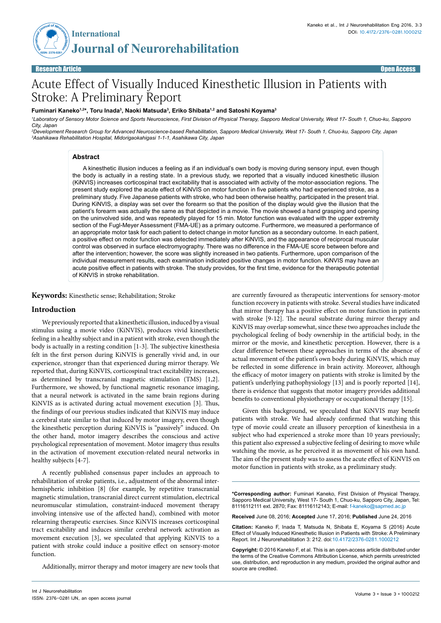

# Acute Effect of Visually Induced Kinesthetic Illusion in Patients with Stroke: A Preliminary Report

## Fuminari Kaneko<sup>1,2</sup>\*, Toru Inada<sup>3</sup>, Naoki Matsuda<sup>3</sup>, Eriko Shibata<sup>1,2</sup> and Satoshi Koyama<sup>3</sup>

*1 Laboratory of Sensory Motor Science and Sports Neuroscience, First Division of Physical Therapy, Sapporo Medical University, West 17- South 1, Chuo-ku, Sapporo City, Japan*

*2 Development Research Group for Advanced Neuroscience-based Rehabilitation, Sapporo Medical University, West 17- South 1, Chuo-ku, Sapporo City, Japan 3 Asahikawa Rehabilitation Hospital, Midorigaokahigasi 1-1-1, Asahikawa City, Japan*

# **Abstract**

A kinesthetic illusion induces a feeling as if an individual's own body is moving during sensory input, even though the body is actually in a resting state. In a previous study, we reported that a visually induced kinesthetic illusion (KiNVIS) increases corticospinal tract excitability that is associated with activity of the motor-association regions. The present study explored the acute effect of KiNVIS on motor function in five patients who had experienced stroke, as a preliminary study. Five Japanese patients with stroke, who had been otherwise healthy, participated in the present trial. During KiNVIS, a display was set over the forearm so that the position of the display would give the illusion that the patient's forearm was actually the same as that depicted in a movie. The movie showed a hand grasping and opening on the uninvolved side, and was repeatedly played for 15 min. Motor function was evaluated with the upper extremity section of the Fugl-Meyer Assessment (FMA-UE) as a primary outcome. Furthermore, we measured a performance of an appropriate motor task for each patient to detect change in motor function as a secondary outcome. In each patient, a positive effect on motor function was detected immediately after KiNVIS, and the appearance of reciprocal muscular control was observed in surface electromyography. There was no difference in the FMA-UE score between before and after the intervention; however, the score was slightly increased in two patients. Furthermore, upon comparison of the individual measurement results, each examination indicated positive changes in motor function. KiNVIS may have an acute positive effect in patients with stroke. The study provides, for the first time, evidence for the therapeutic potential of KiNVIS in stroke rehabilitation.

**Keywords:** Kinesthetic sense; Rehabilitation; Stroke

# **Introduction**

We previously reported that a kinesthetic illusion, induced by a visual stimulus using a movie video (KiNVIS), produces vivid kinesthetic feeling in a healthy subject and in a patient with stroke, even though the body is actually in a resting condition [1-3]. The subjective kinesthesia felt in the first person during KiNVIS is generally vivid and, in our experience, stronger than that experienced during mirror therapy. We reported that, during KiNVIS, corticospinal tract excitability increases, as determined by transcranial magnetic stimulation (TMS) [1,2]. Furthermore, we showed, by functional magnetic resonance imaging, that a neural network is activated in the same brain regions during KiNVIS as is activated during actual movement execution [3]. Thus, the findings of our previous studies indicated that KiNVIS may induce a cerebral state similar to that induced by motor imagery, even though the kinesthetic perception during KiNVIS is "passively" induced. On the other hand, motor imagery describes the conscious and active psychological representation of movement. Motor imagery thus results in the activation of movement execution-related neural networks in healthy subjects [4-7].

A recently published consensus paper includes an approach to rehabilitation of stroke patients, i.e., adjustment of the abnormal interhemispheric inhibition [8] (for example, by repetitive transcranial magnetic stimulation, transcranial direct current stimulation, electrical neuromuscular stimulation, constraint-induced movement therapy involving intensive use of the affected hand), combined with motor relearning therapeutic exercises. Since KiNVIS increases corticospinal tract excitability and induces similar cerebral network activation as movement execution [3], we speculated that applying KiNVIS to a patient with stroke could induce a positive effect on sensory-motor function.

Additionally, mirror therapy and motor imagery are new tools that

are currently favoured as therapeutic interventions for sensory-motor function recovery in patients with stroke. Several studies have indicated that mirror therapy has a positive effect on motor function in patients with stroke [9-12]. The neural substrate during mirror therapy and KiNVIS may overlap somewhat, since these two approaches include the psychological feeling of body ownership in the artificial body, in the mirror or the movie, and kinesthetic perception. However, there is a clear difference between these approaches in terms of the absence of actual movement of the patient's own body during KiNVIS, which may be reflected in some difference in brain activity. Moreover, although the efficacy of motor imagery on patients with stroke is limited by the patient's underlying pathophysiology [13] and is poorly reported [14], there is evidence that suggests that motor imagery provides additional benefits to conventional physiotherapy or occupational therapy [15].

Given this background, we speculated that KiNVIS may benefit patients with stroke. We had already confirmed that watching this type of movie could create an illusory perception of kinesthesia in a subject who had experienced a stroke more than 10 years previously; this patient also expressed a subjective feeling of desiring to move while watching the movie, as he perceived it as movement of his own hand. The aim of the present study was to assess the acute effect of KiNVIS on motor function in patients with stroke, as a preliminary study.

**\*Corresponding author:** Fuminari Kaneko, First Division of Physical Therapy, Sapporo Medical University, West 17- South 1, Chuo-ku, Sapporo City, Japan, Tel: 81116112111 ext. 2870; Fax: 81116112143; E-mail: f-kaneko@sapmed.ac.jp

**Received** June 08, 2016; **Accepted** June 17, 2016; **Published** June 24, 2016

**Citation:** Kaneko F, Inada T, Matsuda N, Shibata E, Koyama S (2016) Acute Effect of Visually Induced Kinesthetic Illusion in Patients with Stroke: A Preliminary Report. Int J Neurorehabilitation 3: 212. doi:10.4172/2376-0281.1000212

**Copyright:** © 2016 Kaneko F, et al. This is an open-access article distributed under the terms of the Creative Commons Attribution License, which permits unrestricted use, distribution, and reproduction in any medium, provided the original author and source are credited.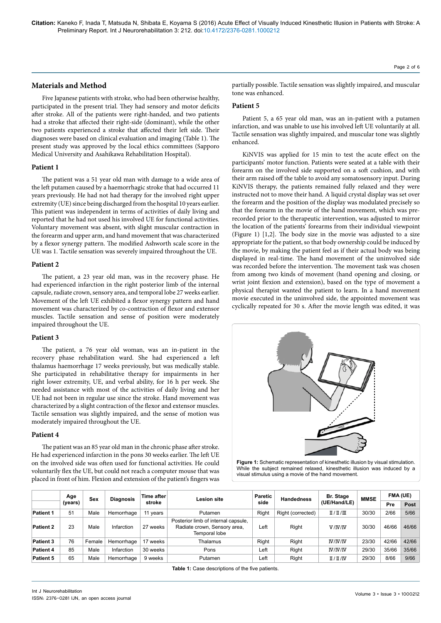**Citation:** Kaneko F, Inada T, Matsuda N, Shibata E, Koyama S (2016) Acute Effect of Visually Induced Kinesthetic Illusion in Patients with Stroke: A Preliminary Report. Int J Neurorehabilitation 3: 212. doi:10.4172/2376-0281.1000212

# **Materials and Method**

Five Japanese patients with stroke, who had been otherwise healthy, participated in the present trial. They had sensory and motor deficits after stroke. All of the patients were right-handed, and two patients had a stroke that affected their right-side (dominant), while the other two patients experienced a stroke that affected their left side. Their diagnoses were based on clinical evaluation and imaging (Table 1). The present study was approved by the local ethics committees (Sapporo Medical University and Asahikawa Rehabilitation Hospital).

#### **Patient 1**

The patient was a 51 year old man with damage to a wide area of the left putamen caused by a haemorrhagic stroke that had occurred 11 years previously. He had not had therapy for the involved right upper extremity (UE) since being discharged from the hospital 10 years earlier. This patient was independent in terms of activities of daily living and reported that he had not used his involved UE for functional activities. Voluntary movement was absent, with slight muscular contraction in the forearm and upper arm, and hand movement that was characterized by a flexor synergy pattern. The modified Ashworth scale score in the UE was 1. Tactile sensation was severely impaired throughout the UE.

#### **Patient 2**

The patient, a 23 year old man, was in the recovery phase. He had experienced infarction in the right posterior limb of the internal capsule, radiate crown, sensory area, and temporal lobe 27 weeks earlier. Movement of the left UE exhibited a flexor synergy pattern and hand movement was characterized by co-contraction of flexor and extensor muscles. Tactile sensation and sense of position were moderately impaired throughout the UE.

# **Patient 3**

The patient, a 76 year old woman, was an in-patient in the recovery phase rehabilitation ward. She had experienced a left thalamus haemorrhage 17 weeks previously, but was medically stable. She participated in rehabilitative therapy for impairments in her right lower extremity, UE, and verbal ability, for 16 h per week. She needed assistance with most of the activities of daily living and her UE had not been in regular use since the stroke. Hand movement was characterized by a slight contraction of the flexor and extensor muscles. Tactile sensation was slightly impaired, and the sense of motion was moderately impaired throughout the UE.

# **Patient 4**

The patient was an 85 year old man in the chronic phase after stroke. He had experienced infarction in the pons 30 weeks earlier. The left UE on the involved side was often used for functional activities. He could voluntarily flex the UE, but could not reach a computer mouse that was placed in front of him. Flexion and extension of the patient's fingers was partially possible. Tactile sensation was slightly impaired, and muscular tone was enhanced.

## **Patient 5**

Patient 5, a 65 year old man, was an in-patient with a putamen infarction, and was unable to use his involved left UE voluntarily at all. Tactile sensation was slightly impaired, and muscular tone was slightly enhanced.

KiNVIS was applied for 15 min to test the acute effect on the participants' motor function. Patients were seated at a table with their forearm on the involved side supported on a soft cushion, and with their arm raised off the table to avoid any somatosensory input. During KiNVIS therapy, the patients remained fully relaxed and they were instructed not to move their hand. A liquid crystal display was set over the forearm and the position of the display was modulated precisely so that the forearm in the movie of the hand movement, which was prerecorded prior to the therapeutic intervention, was adjusted to mirror the location of the patients' forearms from their individual viewpoint (Figure 1) [1,2]. The body size in the movie was adjusted to a size appropriate for the patient, so that body ownership could be induced by the movie, by making the patient feel as if their actual body was being displayed in real-time. The hand movement of the uninvolved side was recorded before the intervention. The movement task was chosen from among two kinds of movement (hand opening and closing, or wrist joint flexion and extension), based on the type of movement a physical therapist wanted the patient to learn. In a hand movement movie executed in the uninvolved side, the appointed movement was cyclically repeated for 30 s. After the movie length was edited, it was



Figure 1: Schematic representation of kinesthetic illusion by visual stimulation. While the subject remained relaxed, kinesthetic illusion was induced by a visual stimulus using a movie of the hand movement.

|                  | Age     | Sex    | <b>Diagnosis</b> | Time after | Lesion site                                                                          | <b>Paretic</b> | <b>Handedness</b> | Br. Stage         | <b>MMSE</b> | FMA (UE) |       |
|------------------|---------|--------|------------------|------------|--------------------------------------------------------------------------------------|----------------|-------------------|-------------------|-------------|----------|-------|
|                  | (years) |        |                  | stroke     |                                                                                      | side           |                   | (UE/Hand/LE)      |             | Pre      | Post  |
| <b>Patient 1</b> | 51      | Male   | Hemorrhage       | 11 years   | Putamen                                                                              | Right          | Right (corrected) | $\frac{\pi}{\pi}$ | 30/30       | 2/66     | 5/66  |
| <b>Patient 2</b> | 23      | Male   | Infarction       | 27 weeks   | Posterior limb of internal capsule,<br>Radiate crown, Sensory area,<br>Temporal lobe | Left           | Right             | V/IV/IV           | 30/30       | 46/66    | 46/66 |
| <b>Patient 3</b> | 76      | Female | Hemorrhage       | 17 weeks   | Thalamus                                                                             | Right          | Right             | IV/IV/IV          | 23/30       | 42/66    | 42/66 |
| <b>Patient 4</b> | 85      | Male   | Infarction       | 30 weeks   | Pons                                                                                 | Left           | Right             | IV/IV/IV          | 29/30       | 35/66    | 35/66 |
| <b>Patient 5</b> | 65      | Male   | Hemorrhage       | 9 weeks    | Putamen                                                                              | Left           | Right             | $\frac{\pi}{\pi}$ | 29/30       | 8/66     | 9/66  |

**Table 1:** Case descriptions of the five patients.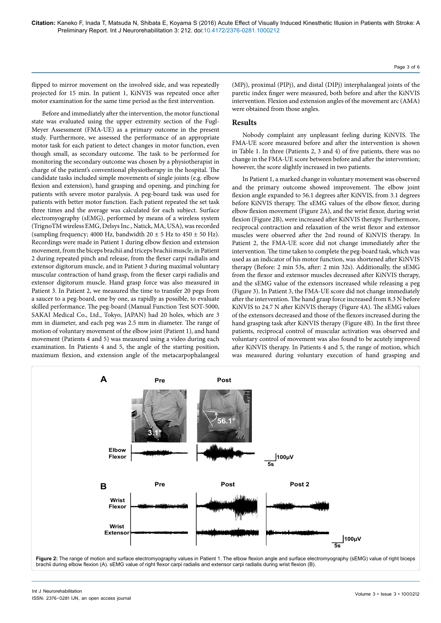flipped to mirror movement on the involved side, and was repeatedly projected for 15 min. In patient 1, KiNVIS was repeated once after motor examination for the same time period as the first intervention.

Before and immediately after the intervention, the motor functional state was evaluated using the upper extremity section of the Fugl-Meyer Assessment (FMA-UE) as a primary outcome in the present study. Furthermore, we assessed the performance of an appropriate motor task for each patient to detect changes in motor function, even though small, as secondary outcome. The task to be performed for monitoring the secondary outcome was chosen by a physiotherapist in charge of the patient's conventional physiotherapy in the hospital. The candidate tasks included simple movements of single joints (e.g. elbow flexion and extension), hand grasping and opening, and pinching for patients with severe motor paralysis. A peg-board task was used for patients with better motor function. Each patient repeated the set task three times and the average was calculated for each subject. Surface electromyography (sEMG), performed by means of a wireless system (TrignoTM wireless EMG, Delsys Inc., Natick, MA, USA), was recorded (sampling frequency; 4000 Hz, bandwidth  $20 \pm 5$  Hz to  $450 \pm 50$  Hz). Recordings were made in Patient 1 during elbow flexion and extension movement, from the biceps brachii and triceps brachii muscle, in Patient 2 during repeated pinch and release, from the flexer carpi radialis and extensor digitorum muscle, and in Patient 3 during maximal voluntary muscular contraction of hand grasp, from the flexer carpi radialis and extensor digitorum muscle. Hand grasp force was also measured in Patient 3. In Patient 2, we measured the time to transfer 20 pegs from a saucer to a peg-board, one by one, as rapidly as possible, to evaluate skilled performance. The peg-board (Manual Function Test SOT-5000, SAKAI Medical Co., Ltd., Tokyo, JAPAN) had 20 holes, which are 3 mm in diameter, and each peg was 2.5 mm in diameter. The range of motion of voluntary movement of the elbow joint (Patient 1), and hand movement (Patients 4 and 5) was measured using a video during each examination. In Patients 4 and 5, the angle of the starting position, maximum flexion, and extension angle of the metacarpophalangeal (MPj), proximal (PIPj), and distal (DIPj) interphalangeal joints of the paretic index finger were measured, both before and after the KiNVIS intervention. Flexion and extension angles of the movement arc (AMA) were obtained from those angles.

# **Results**

Nobody complaint any unpleasant feeling during KiNVIS. The FMA-UE score measured before and after the intervention is shown in Table 1. In three (Patients 2, 3 and 4) of five patients, there was no change in the FMA-UE score between before and after the intervention; however, the score slightly increased in two patients.

In Patient 1, a marked change in voluntary movement was observed and the primary outcome showed improvement. The elbow joint flexion angle expanded to 56.1 degrees after KiNVIS, from 3.1 degrees before KiNVIS therapy. The sEMG values of the elbow flexor, during elbow flexion movement (Figure 2A), and the wrist flexor, during wrist flexion (Figure 2B), were increased after KiNVIS therapy. Furthermore, reciprocal contraction and relaxation of the wrist flexor and extensor muscles were observed after the 2nd round of KiNVIS therapy. In Patient 2, the FMA-UE score did not change immediately after the intervention. The time taken to complete the peg-board task, which was used as an indicator of his motor function, was shortened after KiNVIS therapy (Before: 2 min 53s, after: 2 min 32s). Additionally, the sEMG from the flexor and extensor muscles decreased after KiNVIS therapy, and the sEMG value of the extensors increased while releasing a peg (Figure 3). In Patient 3, the FMA-UE score did not change immediately after the intervention. The hand grasp force increased from 8.3 N before KiNVIS to 24.7 N after KiNVIS therapy (Figure 4A). The sEMG values of the extensors decreased and those of the flexors increased during the hand grasping task after KiNVIS therapy (Figure 4B). In the first three patients, reciprocal control of muscular activation was observed and voluntary control of movement was also found to be acutely improved after KiNVIS therapy. In Patients 4 and 5, the range of motion, which was measured during voluntary execution of hand grasping and



Page 3 of 6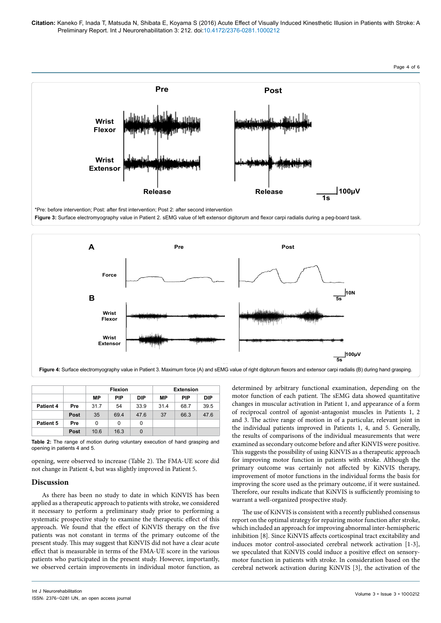

\*Pre: before intervention; Post: after first intervention; Post 2: after second intervention

**Figure 3:** Surface electromyography value in Patient 2. sEMG value of left extensor digitorum and flexor carpi radialis during a peg-board task.



|           |      |      | <b>Flexion</b> |            | <b>Extension</b> |            |            |  |
|-----------|------|------|----------------|------------|------------------|------------|------------|--|
|           |      | МP   | <b>PIP</b>     | <b>DIP</b> | МP               | <b>PIP</b> | <b>DIP</b> |  |
| Patient 4 | Pre  | 31.7 | 54             | 33.9       | 31.4             | 68.7       | 39.5       |  |
|           | Post | 35   | 69.4           | 47.6       | 37               | 66.3       | 47.6       |  |
| Patient 5 | Pre  | 0    | 0              | 0          |                  |            |            |  |
|           | Post | 10.6 | 16.3           | 0          |                  |            |            |  |

**Table 2:** The range of motion during voluntary execution of hand grasping and opening in patients 4 and 5.

opening, were observed to increase (Table 2). The FMA-UE score did not change in Patient 4, but was slightly improved in Patient 5.

# **Discussion**

As there has been no study to date in which KiNVIS has been applied as a therapeutic approach to patients with stroke, we considered it necessary to perform a preliminary study prior to performing a systematic prospective study to examine the therapeutic effect of this approach. We found that the effect of KiNVIS therapy on the five patients was not constant in terms of the primary outcome of the present study. This may suggest that KiNVIS did not have a clear acute effect that is measurable in terms of the FMA-UE score in the various patients who participated in the present study. However, importantly, we observed certain improvements in individual motor function, as

determined by arbitrary functional examination, depending on the motor function of each patient. The sEMG data showed quantitative changes in muscular activation in Patient 1, and appearance of a form of reciprocal control of agonist-antagonist muscles in Patients 1, 2 and 3. The active range of motion in of a particular, relevant joint in the individual patients improved in Patients 1, 4, and 5. Generally, the results of comparisons of the individual measurements that were examined as secondary outcome before and after KiNVIS were positive. This suggests the possibility of using KiNVIS as a therapeutic approach for improving motor function in patients with stroke. Although the primary outcome was certainly not affected by KiNVIS therapy, improvement of motor functions in the individual forms the basis for improving the score used as the primary outcome, if it were sustained. Therefore, our results indicate that KiNVIS is sufficiently promising to warrant a well-organized prospective study.

The use of KiNVIS is consistent with a recently published consensus report on the optimal strategy for repairing motor function after stroke, which included an approach for improving abnormal inter-hemispheric inhibition [8]. Since KiNVIS affects corticospinal tract excitability and induces motor control-associated cerebral network activation [1-3], we speculated that KiNVIS could induce a positive effect on sensorymotor function in patients with stroke. In consideration based on the cerebral network activation during KiNVIS [3], the activation of the

Page 4 of 6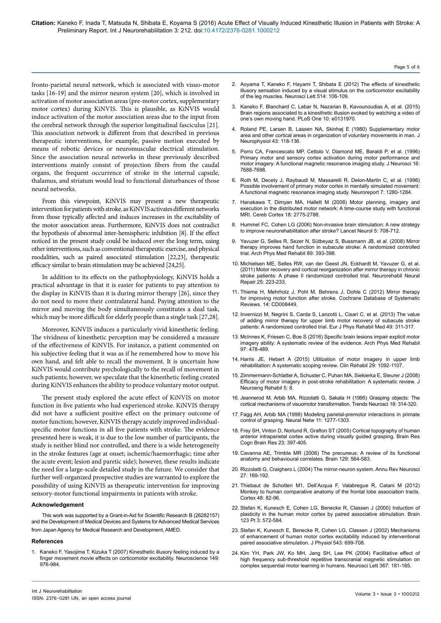fronto-parietal neural network, which is associated with visuo-motor tasks [16-19] and the mirror neuron system [20], which is involved in activation of motor association areas (pre-motor cortex, supplementary motor cortex) during KiNVIS. This is plausible, as KiNVIS would induce activation of the motor association areas due to the input from the cerebral network through the superior longitudinal fasciculus [21]. This association network is different from that described in previous therapeutic interventions, for example, passive motion executed by means of robotic devices or neuromuscular electrical stimulation. Since the association neural networks in these previously described interventions mainly consist of projection fibers from the caudal organs, the frequent occurrence of stroke in the internal capsule, thalamus, and striatum would lead to functional disturbances of those neural networks.

From this viewpoint, KiNVIS may present a new therapeutic intervention for patients with stroke, as KiNVIS activates different networks from those typically affected and induces increases in the excitability of the motor association areas. Furthermore, KiNVIS does not contradict the hypothesis of abnormal inter-hemispheric inhibition [8]. If the effect noticed in the present study could be induced over the long term, using other interventions, such as conventional therapeutic exercise, and physical modalities, such as paired associated stimulation [22,23], therapeutic efficacy similar to brain stimulation may be achieved [24,25].

In addition to its effects on the pathophysiology, KiNVIS holds a practical advantage in that it is easier for patients to pay attention to the display in KiNVIS than it is during mirror therapy [26], since they do not need to move their contralateral hand. Paying attention to the mirror and moving the body simultaneously constitutes a dual task, which may be more difficult for elderly people than a single task [27,28].

Moreover, KiNVIS induces a particularly vivid kinesthetic feeling. The vividness of kinesthetic perception may be considered a measure of the effectiveness of KiNVIS. For instance, a patient commented on his subjective feeling that it was as if he remembered how to move his own hand, and felt able to recall the movement. It is uncertain how KiNVIS would contribute psychologically to the recall of movement in such patients; however, we speculate that the kinesthetic feeling created during KiNVIS enhances the ability to produce voluntary motor output.

The present study explored the acute effect of KiNVIS on motor function in five patients who had experienced stroke. KiNVIS therapy did not have a sufficient positive effect on the primary outcome of motor function; however, KiNVIS therapy acutely improved individualspecific motor functions in all five patients with stroke. The evidence presented here is weak, it is due to the low number of participants, the study is neither blind nor controlled, and there is a wide heterogeneity in the stroke features (age at onset; ischemic/haemorrhagic; time after the acute event; lesion and paretic side); however, these results indicate the need for a large-scale detailed study in the future. We consider that further well-organized prospective studies are warranted to explore the possibility of using KiNVIS as therapeutic intervention for improving sensory-motor functional impairments in patients with stroke.

#### **Acknowledgement**

This work was supported by a Grant-in-Aid for Scientific Research B (26282157) and the Development of Medical Devices and Systems for Advanced Medical Services from Japan Agency for Medical Research and Development, AMED.

#### **References**

1. [Kaneko F, Yasojima T, Kizuka T \(2007\) Kinesthetic illusory feeling induced by a](http://www.ncbi.nlm.nih.gov/pubmed/17935897) [finger movement movie effects on corticomotor excitability. Neuroscience 149:](http://www.ncbi.nlm.nih.gov/pubmed/17935897) [976-984.](http://www.ncbi.nlm.nih.gov/pubmed/17935897)

2. [Aoyama T, Kaneko F, Hayami T, Shibata E \(2012\) The effects of kinesthetic](http://www.ncbi.nlm.nih.gov/pubmed/22402187)  [illusory sensation induced by a visual stimulus on the corticomotor excitability](http://www.ncbi.nlm.nih.gov/pubmed/22402187)  [of the leg muscles. Neurosci Lett 514: 106-109.](http://www.ncbi.nlm.nih.gov/pubmed/22402187)

Page 5 of 6

- 3. [Kaneko F, Blanchard C, Lebar N, Nazarian B, Kavounoudias A, et al. \(2015\)](http://www.ncbi.nlm.nih.gov/pubmed/26287488)  [Brain regions associated to a kinesthetic illusion evoked by watching a video of](http://www.ncbi.nlm.nih.gov/pubmed/26287488)  [one's own moving hand. PLoS One 10: e0131970.](http://www.ncbi.nlm.nih.gov/pubmed/26287488)
- 4. [Roland PE, Larsen B, Lassen NA, Skinhøj E \(1980\) Supplementary motor](http://www.ncbi.nlm.nih.gov/pubmed/7351547)  [area and other cortical areas in organization of voluntary movements in man. J](http://www.ncbi.nlm.nih.gov/pubmed/7351547)  [Neurophysiol 43: 118-136.](http://www.ncbi.nlm.nih.gov/pubmed/7351547)
- 5. [Porro CA, Francescato MP, Cettolo V, Diamond ME, Baraldi P, et al. \(1996\)](http://www.ncbi.nlm.nih.gov/pubmed/8922425)  [Primary motor and sensory cortex activation during motor performance and](http://www.ncbi.nlm.nih.gov/pubmed/8922425)  [motor imagery: A functional magnetic resonance imaging study. J Neurosci 16:](http://www.ncbi.nlm.nih.gov/pubmed/8922425)  [7688-7698.](http://www.ncbi.nlm.nih.gov/pubmed/8922425)
- 6. [Roth M, Decety J, Raybaudi M, Massarelli R, Delon-Martin C, et al. \(1996\)](http://www.ncbi.nlm.nih.gov/pubmed/8817549)  [Possible involvement of primary motor cortex in mentally simulated movement:](http://www.ncbi.nlm.nih.gov/pubmed/8817549)  [A functional magnetic resonance imaging study. Neuroreport 7: 1280-1284.](http://www.ncbi.nlm.nih.gov/pubmed/8817549)
- 7. [Hanakawa T, Dimyan MA, Hallett M \(2008\) Motor planning, imagery and](http://www.ncbi.nlm.nih.gov/pubmed/18359777)  [execution in the distributed motor network: A time-course study with functional](http://www.ncbi.nlm.nih.gov/pubmed/18359777)  [MRI. Cereb Cortex 18: 2775-2788.](http://www.ncbi.nlm.nih.gov/pubmed/18359777)
- 8. [Hummel FC, Cohen LG \(2006\) Non-invasive brain stimulation: A new strategy](http://www.ncbi.nlm.nih.gov/pubmed/16857577)  [to improve neurorehabilitation after stroke? Lancet Neurol 5: 708-712.](http://www.ncbi.nlm.nih.gov/pubmed/16857577)
- 9. [Yavuzer G, Selles R, Sezer N, Sütbeyaz S, Bussmann JB, et al. \(2008\) Mirror](http://www.ncbi.nlm.nih.gov/pubmed/18295613)  [therapy improves hand function in subacute stroke: A randomized controlled](http://www.ncbi.nlm.nih.gov/pubmed/18295613)  [trial. Arch Phys Med Rehabil 89: 393-398.](http://www.ncbi.nlm.nih.gov/pubmed/18295613)
- 10. [Michielsen ME, Selles RW, van der Geest JN, Eckhardt M, Yavuzer G, et al.](http://www.ncbi.nlm.nih.gov/pubmed/21051765)  [\(2011\) Motor recovery and cortical reorganization after mirror therapy in chronic](http://www.ncbi.nlm.nih.gov/pubmed/21051765)  [stroke patients: A phase II randomized controlled trial. Neurorehabil Neural](http://www.ncbi.nlm.nih.gov/pubmed/21051765)  [Repair 25: 223-233.](http://www.ncbi.nlm.nih.gov/pubmed/21051765)
- 11. [Thieme H, Mehrholz J, Pohl M, Behrens J, Dohle C \(2012\) Mirror therapy](http://www.ncbi.nlm.nih.gov/pubmed/22419334)  [for improving motor function after stroke. Cochrane Database of Systematic](http://www.ncbi.nlm.nih.gov/pubmed/22419334)  [Reviews. 14: CD008449.](http://www.ncbi.nlm.nih.gov/pubmed/22419334)
- 12. [Invernizzi M, Negrini S, Carda S, Lanzotti L, Cisari C, et al. \(2013\) The value](http://www.ncbi.nlm.nih.gov/pubmed/23480975)  [of adding mirror therapy for upper limb motor recovery of subacute stroke](http://www.ncbi.nlm.nih.gov/pubmed/23480975)  [patients: A randomized controlled trial. Eur J Phys Rehabil Med 49: 311-317.](http://www.ncbi.nlm.nih.gov/pubmed/23480975)
- 13. [McInnes K, Friesen C, Boe S \(2016\) Specific brain lesions impair explicit motor](http://www.ncbi.nlm.nih.gov/pubmed/26254950)  [imagery ability: A systematic review of the evidence. Arch Phys Med Rehabil](http://www.ncbi.nlm.nih.gov/pubmed/26254950)  [97: 478-489.](http://www.ncbi.nlm.nih.gov/pubmed/26254950)
- 14. [Harris JE, Hebert A \(2015\) Utilization of motor imagery in upper limb](http://www.ncbi.nlm.nih.gov/pubmed/25604911)  [rehabilitation: A systematic scoping review. Clin Rehabil 29: 1092-1107.](http://www.ncbi.nlm.nih.gov/pubmed/25604911)
- 15. [Zimmermann-Schlatter A, Schuster C, Puhan MA, Siekierka E, Steurer J \(2008\)](http://www.ncbi.nlm.nih.gov/pubmed/18341687)  [Efficacy of motor imagery in post-stroke rehabilitation: A systematic review. J](http://www.ncbi.nlm.nih.gov/pubmed/18341687)  [Neuroeng Rehabil 5: 8.](http://www.ncbi.nlm.nih.gov/pubmed/18341687)
- 16. [Jeannerod M, Arbib MA, Rizzolatti G, Sakata H \(1995\) Grasping objects: The](http://www.ncbi.nlm.nih.gov/pubmed/7571012)  [cortical mechanisms of visuomotor transformation. Trends Neurosci 18: 314-320.](http://www.ncbi.nlm.nih.gov/pubmed/7571012)
- 17. [Fagg AH, Arbib MA \(1998\) Modeling parietal-premotor interactions in primate](http://www.ncbi.nlm.nih.gov/pubmed/12662750)  [control of grasping. Neural Netw 11: 1277-1303.](http://www.ncbi.nlm.nih.gov/pubmed/12662750)
- 18. [Frey SH, Vinton D, Norlund R, Grafton ST \(2005\) Cortical topography of human](http://www.ncbi.nlm.nih.gov/pubmed/15820646)  [anterior intraparietal cortex active during visually guided grasping. Brain Res](http://www.ncbi.nlm.nih.gov/pubmed/15820646)  [Cogn Brain Res 23: 397-405.](http://www.ncbi.nlm.nih.gov/pubmed/15820646)
- 19. [Cavanna AE, Trimble MR \(2006\) The precuneus: A review of its functional](http://www.ncbi.nlm.nih.gov/pubmed/16399806)  [anatomy and behavioural correlates. Brain 129: 564-583.](http://www.ncbi.nlm.nih.gov/pubmed/16399806)
- 20. [Rizzolatti G, Craighero L \(2004\) The mirror-neuron system. Annu Rev Neurosci](http://www.ncbi.nlm.nih.gov/pubmed/15217330)  [27: 169-192.](http://www.ncbi.nlm.nih.gov/pubmed/15217330)
- 21. [Thiebaut de Schotten M1, Dell'Acqua F, Valabregue R, Catani M \(2012\)](http://www.ncbi.nlm.nih.gov/pubmed/22088488)  [Monkey to human comparative anatomy of the frontal lobe association tracts.](http://www.ncbi.nlm.nih.gov/pubmed/22088488)  [Cortex 48: 82-96.](http://www.ncbi.nlm.nih.gov/pubmed/22088488)
- 22. [Stefan K, Kunesch E, Cohen LG, Benecke R, Classen J \(2000\) Induction of](http://www.ncbi.nlm.nih.gov/pubmed/10686179)  [plasticity in the human motor cortex by paired associative stimulation. Brain](http://www.ncbi.nlm.nih.gov/pubmed/10686179)  [123 Pt 3: 572-584.](http://www.ncbi.nlm.nih.gov/pubmed/10686179)
- 23. Stefan K, Kunesch E, Benecke R, Cohen LG, Classen J (2002) Mechanisms [of enhancement of human motor cortex excitability induced by interventional](http://www.ncbi.nlm.nih.gov/pubmed/12205201)  [paired associative stimulation. J Physiol 543: 699-708.](http://www.ncbi.nlm.nih.gov/pubmed/12205201)
- 24. [Kim YH, Park JW, Ko MH, Jang SH, Lee PK \(2004\) Facilitative effect of](http://www.ncbi.nlm.nih.gov/pubmed/15331148)  [high frequency sub-threshold repetitive transcranial magnetic stimulation on](http://www.ncbi.nlm.nih.gov/pubmed/15331148)  [complex sequential motor learning in humans. Neurosci Lett 367: 181-185.](http://www.ncbi.nlm.nih.gov/pubmed/15331148)